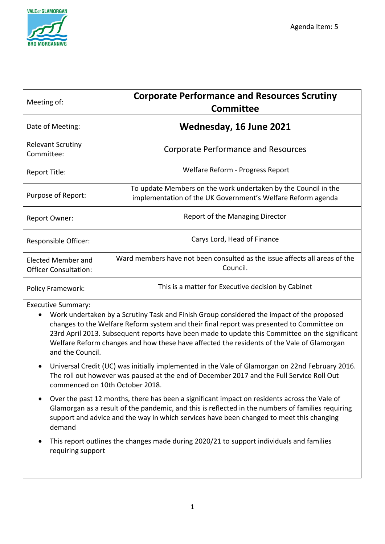

| Meeting of:                                               | <b>Corporate Performance and Resources Scrutiny</b><br><b>Committee</b>                                                       |
|-----------------------------------------------------------|-------------------------------------------------------------------------------------------------------------------------------|
| Date of Meeting:                                          | Wednesday, 16 June 2021                                                                                                       |
| <b>Relevant Scrutiny</b><br>Committee:                    | <b>Corporate Performance and Resources</b>                                                                                    |
| Report Title:                                             | Welfare Reform - Progress Report                                                                                              |
| Purpose of Report:                                        | To update Members on the work undertaken by the Council in the<br>implementation of the UK Government's Welfare Reform agenda |
| Report Owner:                                             | Report of the Managing Director                                                                                               |
| Responsible Officer:                                      | Carys Lord, Head of Finance                                                                                                   |
| <b>Elected Member and</b><br><b>Officer Consultation:</b> | Ward members have not been consulted as the issue affects all areas of the<br>Council.                                        |
| <b>Policy Framework:</b>                                  | This is a matter for Executive decision by Cabinet                                                                            |

Executive Summary:

- Work undertaken by a Scrutiny Task and Finish Group considered the impact of the proposed changes to the Welfare Reform system and their final report was presented to Committee on 23rd April 2013. Subsequent reports have been made to update this Committee on the significant Welfare Reform changes and how these have affected the residents of the Vale of Glamorgan and the Council.
- Universal Credit (UC) was initially implemented in the Vale of Glamorgan on 22nd February 2016. The roll out however was paused at the end of December 2017 and the Full Service Roll Out commenced on 10th October 2018.
- Over the past 12 months, there has been a significant impact on residents across the Vale of Glamorgan as a result of the pandemic, and this is reflected in the numbers of families requiring support and advice and the way in which services have been changed to meet this changing demand
- This report outlines the changes made during 2020/21 to support individuals and families requiring support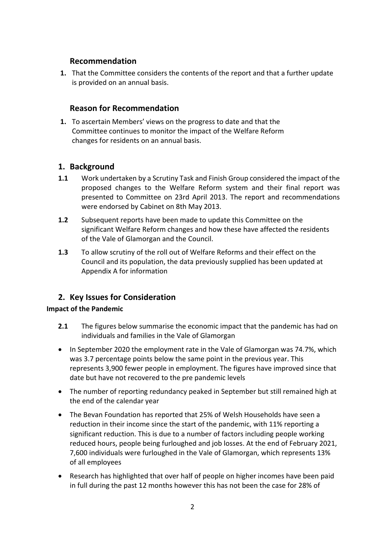# **Recommendation**

**1.** That the Committee considers the contents of the report and that a further update is provided on an annual basis.

# **Reason for Recommendation**

**1.** To ascertain Members' views on the progress to date and that the Committee continues to monitor the impact of the Welfare Reform changes for residents on an annual basis.

# **1. Background**

- **1.1** Work undertaken by a Scrutiny Task and Finish Group considered the impact of the proposed changes to the Welfare Reform system and their final report was presented to Committee on 23rd April 2013. The report and recommendations were endorsed by Cabinet on 8th May 2013.
- **1.2** Subsequent reports have been made to update this Committee on the significant Welfare Reform changes and how these have affected the residents of the Vale of Glamorgan and the Council.
- **1.3** To allow scrutiny of the roll out of Welfare Reforms and their effect on the Council and its population, the data previously supplied has been updated at Appendix A for information

# **2. Key Issues for Consideration**

## **Impact of the Pandemic**

- **2.1** The figures below summarise the economic impact that the pandemic has had on individuals and families in the Vale of Glamorgan
- In September 2020 the employment rate in the Vale of Glamorgan was 74.7%, which was 3.7 percentage points below the same point in the previous year. This represents 3,900 fewer people in employment. The figures have improved since that date but have not recovered to the pre pandemic levels
- The number of reporting redundancy peaked in September but still remained high at the end of the calendar year
- The Bevan Foundation has reported that 25% of Welsh Households have seen a reduction in their income since the start of the pandemic, with 11% reporting a significant reduction. This is due to a number of factors including people working reduced hours, people being furloughed and job losses. At the end of February 2021, 7,600 individuals were furloughed in the Vale of Glamorgan, which represents 13% of all employees
- Research has highlighted that over half of people on higher incomes have been paid in full during the past 12 months however this has not been the case for 28% of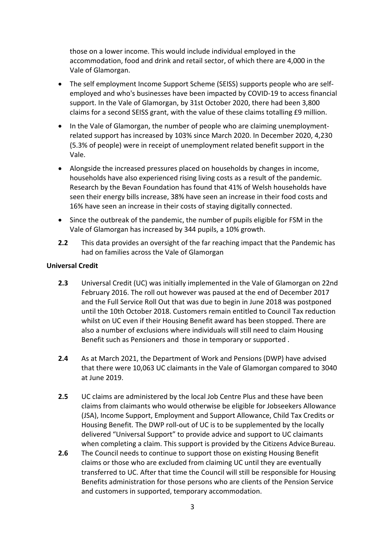those on a lower income. This would include individual employed in the accommodation, food and drink and retail sector, of which there are 4,000 in the Vale of Glamorgan.

- The self employment Income Support Scheme (SEISS) supports people who are selfemployed and who's businesses have been impacted by COVID-19 to access financial support. In the Vale of Glamorgan, by 31st October 2020, there had been 3,800 claims for a second SEISS grant, with the value of these claims totalling £9 million.
- In the Vale of Glamorgan, the number of people who are claiming unemploymentrelated support has increased by 103% since March 2020. In December 2020, 4,230 (5.3% of people) were in receipt of unemployment related benefit support in the Vale.
- Alongside the increased pressures placed on households by changes in income, households have also experienced rising living costs as a result of the pandemic. Research by the Bevan Foundation has found that 41% of Welsh households have seen their energy bills increase, 38% have seen an increase in their food costs and 16% have seen an increase in their costs of staying digitally connected.
- Since the outbreak of the pandemic, the number of pupils eligible for FSM in the Vale of Glamorgan has increased by 344 pupils, a 10% growth.
- **2.2** This data provides an oversight of the far reaching impact that the Pandemic has had on families across the Vale of Glamorgan

## **Universal Credit**

- **2.3** Universal Credit (UC) was initially implemented in the Vale of Glamorgan on 22nd February 2016. The roll out however was paused at the end of December 2017 and the Full Service Roll Out that was due to begin in June 2018 was postponed until the 10th October 2018. Customers remain entitled to Council Tax reduction whilst on UC even if their Housing Benefit award has been stopped. There are also a number of exclusions where individuals will still need to claim Housing Benefit such as Pensioners and those in temporary or supported .
- **2.4** As at March 2021, the Department of Work and Pensions (DWP) have advised that there were 10,063 UC claimants in the Vale of Glamorgan compared to 3040 at June 2019.
- **2.5** UC claims are administered by the local Job Centre Plus and these have been claims from claimants who would otherwise be eligible for Jobseekers Allowance (JSA), Income Support, Employment and Support Allowance, Child Tax Credits or Housing Benefit. The DWP roll-out of UC is to be supplemented by the locally delivered "Universal Support" to provide advice and support to UC claimants when completing a claim. This support is provided by the Citizens Advice Bureau.
- **2.6** The Council needs to continue to support those on existing Housing Benefit claims or those who are excluded from claiming UC until they are eventually transferred to UC. After that time the Council will still be responsible for Housing Benefits administration for those persons who are clients of the Pension Service and customers in supported, temporary accommodation.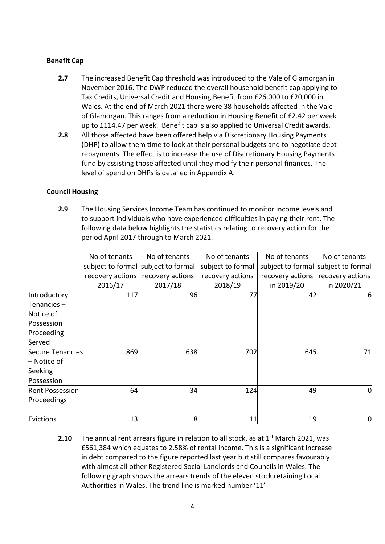### **Benefit Cap**

- **2.7** The increased Benefit Cap threshold was introduced to the Vale of Glamorgan in November 2016. The DWP reduced the overall household benefit cap applying to Tax Credits, Universal Credit and Housing Benefit from £26,000 to £20,000 in Wales. At the end of March 2021 there were 38 households affected in the Vale of Glamorgan. This ranges from a reduction in Housing Benefit of £2.42 per week up to £114.47 per week. Benefit cap is also applied to Universal Credit awards.
- **2.8** All those affected have been offered help via Discretionary Housing Payments (DHP) to allow them time to look at their personal budgets and to negotiate debt repayments. The effect is to increase the use of Discretionary Housing Payments fund by assisting those affected until they modify their personal finances. The level of spend on DHPs is detailed in Appendix A.

#### **Council Housing**

**2.9** The Housing Services Income Team has continued to monitor income levels and to support individuals who have experienced difficulties in paying their rent. The following data below highlights the statistics relating to recovery action for the period April 2017 through to March 2021.

|                        | No of tenants    | No of tenants                       | No of tenants     | No of tenants                       | No of tenants    |
|------------------------|------------------|-------------------------------------|-------------------|-------------------------------------|------------------|
|                        |                  | subject to formal subject to formal | subject to formal | subject to formal subject to formal |                  |
|                        | recovery actions | recovery actions                    | recovery actions  | recovery actions                    | recovery actions |
|                        | 2016/17          | 2017/18                             | 2018/19           | in 2019/20                          | in 2020/21       |
| Introductory           | 117              | 96                                  | 77                | 42                                  | 61               |
| Tenancies-             |                  |                                     |                   |                                     |                  |
| Notice of              |                  |                                     |                   |                                     |                  |
| Possession             |                  |                                     |                   |                                     |                  |
| Proceeding             |                  |                                     |                   |                                     |                  |
| Served                 |                  |                                     |                   |                                     |                  |
| Secure Tenancies       | 869              | 638                                 | 702               | 645                                 | 71               |
| $\vdash$ Notice of     |                  |                                     |                   |                                     |                  |
| Seeking                |                  |                                     |                   |                                     |                  |
| Possession             |                  |                                     |                   |                                     |                  |
| <b>Rent Possession</b> | 64               | 34                                  | 124               | 49                                  | 0                |
| Proceedings            |                  |                                     |                   |                                     |                  |
| Evictions              | 13               | 8                                   | 11                | 19                                  | 0                |

**2.10** The annual rent arrears figure in relation to all stock, as at 1<sup>st</sup> March 2021, was £561,384 which equates to 2.58% of rental income. This is a significant increase in debt compared to the figure reported last year but still compares favourably with almost all other Registered Social Landlords and Councils in Wales. The following graph shows the arrears trends of the eleven stock retaining Local Authorities in Wales. The trend line is marked number '11'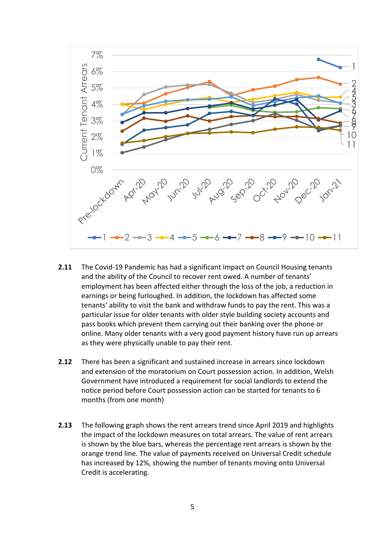

- **2.11** The Covid-19 Pandemic has had a significant impact on Council Housing tenants and the ability of the Council to recover rent owed. A number of tenants' employment has been affected either through the loss of the job, a reduction in earnings or being furloughed. In addition, the lockdown has affected some tenants' ability to visit the bank and withdraw funds to pay the rent. This was a particular issue for older tenants with older style building society accounts and pass books which prevent them carrying out their banking over the phone or online. Many older tenants with a very good payment history have run up arrears as they were physically unable to pay their rent.
- **2.12** There has been a significant and sustained increase in arrears since lockdown and extension of the moratorium on Court possession action. In addition, Welsh Government have introduced a requirement for social landlords to extend the notice period before Court possession action can be started for tenants to 6 months (from one month)
- **2.13** The following graph shows the rent arrears trend since April 2019 and highlights the impact of the lockdown measures on total arrears. The value of rent arrears is shown by the blue bars, whereas the percentage rent arrears is shown by the orange trend line. The value of payments received on Universal Credit schedule has increased by 12%, showing the number of tenants moving onto Universal Credit is accelerating.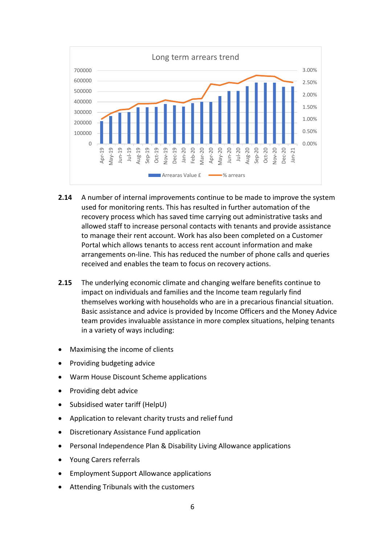

- **2.14** A number of internal improvements continue to be made to improve the system used for monitoring rents. This has resulted in further automation of the recovery process which has saved time carrying out administrative tasks and allowed staff to increase personal contacts with tenants and provide assistance to manage their rent account. Work has also been completed on a Customer Portal which allows tenants to access rent account information and make arrangements on-line. This has reduced the number of phone calls and queries received and enables the team to focus on recovery actions.
- **2.15** The underlying economic climate and changing welfare benefits continue to impact on individuals and families and the Income team regularly find themselves working with households who are in a precarious financial situation. Basic assistance and advice is provided by Income Officers and the Money Advice team provides invaluable assistance in more complex situations, helping tenants in a variety of ways including:
- Maximising the income of clients
- Providing budgeting advice
- Warm House Discount Scheme applications
- Providing debt advice
- Subsidised water tariff (HelpU)
- Application to relevant charity trusts and relief fund
- Discretionary Assistance Fund application
- Personal Independence Plan & Disability Living Allowance applications
- Young Carers referrals
- Employment Support Allowance applications
- Attending Tribunals with the customers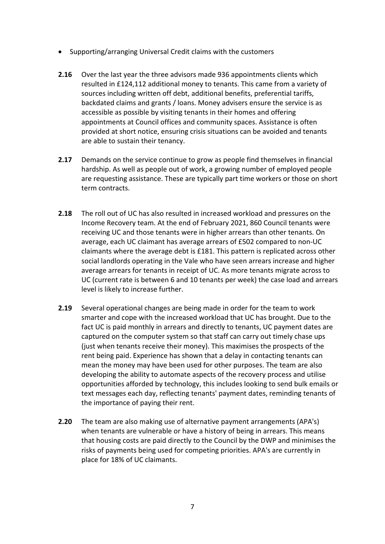- Supporting/arranging Universal Credit claims with the customers
- **2.16** Over the last year the three advisors made 936 appointments clients which resulted in £124,112 additional money to tenants. This came from a variety of sources including written off debt, additional benefits, preferential tariffs, backdated claims and grants / loans. Money advisers ensure the service is as accessible as possible by visiting tenants in their homes and offering appointments at Council offices and community spaces. Assistance is often provided at short notice, ensuring crisis situations can be avoided and tenants are able to sustain their tenancy.
- **2.17** Demands on the service continue to grow as people find themselves in financial hardship. As well as people out of work, a growing number of employed people are requesting assistance. These are typically part time workers or those on short term contracts.
- **2.18** The roll out of UC has also resulted in increased workload and pressures on the Income Recovery team. At the end of February 2021, 860 Council tenants were receiving UC and those tenants were in higher arrears than other tenants. On average, each UC claimant has average arrears of £502 compared to non-UC claimants where the average debt is £181. This pattern is replicated across other social landlords operating in the Vale who have seen arrears increase and higher average arrears for tenants in receipt of UC. As more tenants migrate across to UC (current rate is between 6 and 10 tenants per week) the case load and arrears level is likely to increase further.
- **2.19** Several operational changes are being made in order for the team to work smarter and cope with the increased workload that UC has brought. Due to the fact UC is paid monthly in arrears and directly to tenants, UC payment dates are captured on the computer system so that staff can carry out timely chase ups (just when tenants receive their money). This maximises the prospects of the rent being paid. Experience has shown that a delay in contacting tenants can mean the money may have been used for other purposes. The team are also developing the ability to automate aspects of the recovery process and utilise opportunities afforded by technology, this includes looking to send bulk emails or text messages each day, reflecting tenants' payment dates, reminding tenants of the importance of paying their rent.
- **2.20** The team are also making use of alternative payment arrangements (APA's) when tenants are vulnerable or have a history of being in arrears. This means that housing costs are paid directly to the Council by the DWP and minimises the risks of payments being used for competing priorities. APA's are currently in place for 18% of UC claimants.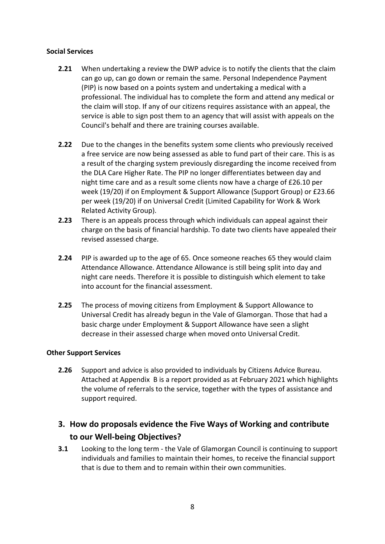### **Social Services**

- **2.21** When undertaking a review the DWP advice is to notify the clients that the claim can go up, can go down or remain the same. Personal Independence Payment (PIP) is now based on a points system and undertaking a medical with a professional. The individual has to complete the form and attend any medical or the claim will stop. If any of our citizens requires assistance with an appeal, the service is able to sign post them to an agency that will assist with appeals on the Council's behalf and there are training courses available.
- **2.22** Due to the changes in the benefits system some clients who previously received a free service are now being assessed as able to fund part of their care. This is as a result of the charging system previously disregarding the income received from the DLA Care Higher Rate. The PIP no longer differentiates between day and night time care and as a result some clients now have a charge of £26.10 per week (19/20) if on Employment & Support Allowance (Support Group) or £23.66 per week (19/20) if on Universal Credit (Limited Capability for Work & Work Related Activity Group).
- **2.23** There is an appeals process through which individuals can appeal against their charge on the basis of financial hardship. To date two clients have appealed their revised assessed charge.
- **2.24** PIP is awarded up to the age of 65. Once someone reaches 65 they would claim Attendance Allowance. Attendance Allowance is still being split into day and night care needs. Therefore it is possible to distinguish which element to take into account for the financial assessment.
- **2.25** The process of moving citizens from Employment & Support Allowance to Universal Credit has already begun in the Vale of Glamorgan. Those that had a basic charge under Employment & Support Allowance have seen a slight decrease in their assessed charge when moved onto Universal Credit.

## **Other Support Services**

**2.26** Support and advice is also provided to individuals by Citizens Advice Bureau. Attached at Appendix B is a report provided as at February 2021 which highlights the volume of referrals to the service, together with the types of assistance and support required.

# **3. How do proposals evidence the Five Ways of Working and contribute to our Well-being Objectives?**

**3.1** Looking to the long term - the Vale of Glamorgan Council is continuing to support individuals and families to maintain their homes, to receive the financial support that is due to them and to remain within their own communities.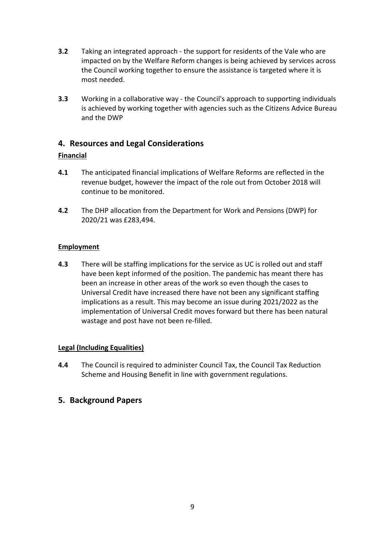- **3.2** Taking an integrated approach the support for residents of the Vale who are impacted on by the Welfare Reform changes is being achieved by services across the Council working together to ensure the assistance is targeted where it is most needed.
- **3.3** Working in a collaborative way the Council's approach to supporting individuals is achieved by working together with agencies such as the Citizens Advice Bureau and the DWP

# **4. Resources and Legal Considerations**

# **Financial**

- **4.1** The anticipated financial implications of Welfare Reforms are reflected in the revenue budget, however the impact of the role out from October 2018 will continue to be monitored.
- **4.2** The DHP allocation from the Department for Work and Pensions (DWP) for 2020/21 was £283,494.

# **Employment**

**4.3** There will be staffing implications for the service as UC is rolled out and staff have been kept informed of the position. The pandemic has meant there has been an increase in other areas of the work so even though the cases to Universal Credit have increased there have not been any significant staffing implications as a result. This may become an issue during 2021/2022 as the implementation of Universal Credit moves forward but there has been natural wastage and post have not been re-filled.

## **Legal (Including Equalities)**

**4.4** The Council is required to administer Council Tax, the Council Tax Reduction Scheme and Housing Benefit in line with government regulations.

# **5. Background Papers**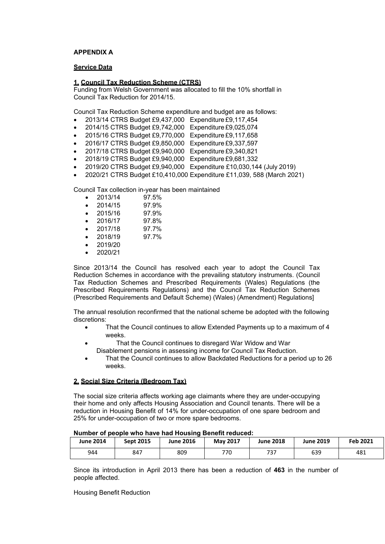#### **APPENDIX A**

#### **Service Data**

#### **1. Council Tax Reduction Scheme (CTRS)**

Funding from Welsh Government was allocated to fill the 10% shortfall in Council Tax Reduction for 2014/15.

Council Tax Reduction Scheme expenditure and budget are as follows:

- 2013/14 CTRS Budget £9,437,000 Expenditure £9,117,454
- 2014/15 CTRS Budget £9,742,000 Expenditure £9,025,074
- 2015/16 CTRS Budget £9,770,000 Expenditure £9,117,658
- 2016/17 CTRS Budget £9,850,000 Expenditure £9,337,597
- 2017/18 CTRS Budget £9,940,000 Expenditure £9,340,821
- 2018/19 CTRS Budget £9,940,000 Expenditure £9,681,332
- 2019/20 CTRS Budget £9,940,000 Expenditure £10,030,144 (July 2019)
- 2020/21 CTRS Budget £10,410,000 Expenditure £11,039, 588 (March 2021)

Council Tax collection in-year has been maintained

- 2013/14 97.5%
- 2014/15 97.9%
- 2015/16 97.9%
- 2016/17 97.8%
- 2017/18 97.7%
- 2018/19 97.7%
- 2019/20
- 2020/21

Since 2013/14 the Council has resolved each year to adopt the Council Tax Reduction Schemes in accordance with the prevailing statutory instruments. (Council Tax Reduction Schemes and Prescribed Requirements (Wales) Regulations (the Prescribed Requirements Regulations) and the Council Tax Reduction Schemes (Prescribed Requirements and Default Scheme) (Wales) (Amendment) Regulations]

The annual resolution reconfirmed that the national scheme be adopted with the following discretions:

- That the Council continues to allow Extended Payments up to a maximum of 4 weeks.
- That the Council continues to disregard War Widow and War Disablement pensions in assessing income for Council Tax Reduction.
- That the Council continues to allow Backdated Reductions for a period up to 26 weeks.

#### **2. Social Size Criteria (Bedroom Tax)**

The social size criteria affects working age claimants where they are under-occupying their home and only affects Housing Association and Council tenants. There will be a reduction in Housing Benefit of 14% for under-occupation of one spare bedroom and 25% for under-occupation of two or more spare bedrooms.

| <b>June 2014</b> | <b>Sept 2015</b> | <b>June 2016</b> | <b>May 2017</b> | <b>June 2018</b> | <b>June 2019</b> | Feb 2021 |
|------------------|------------------|------------------|-----------------|------------------|------------------|----------|
| 944              | 847              | 809              | 770             | 737              | 639              | 481      |

#### **Number of people who have had Housing Benefit reduced:**

Since its introduction in April 2013 there has been a reduction of **463** in the number of people affected.

#### Housing Benefit Reduction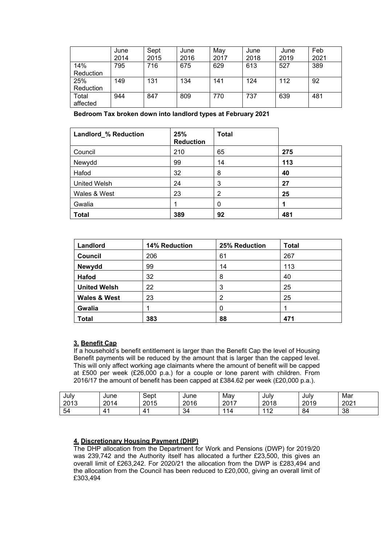|           | June | Sept | June | May  | June | June | Feb  |
|-----------|------|------|------|------|------|------|------|
|           | 2014 | 2015 | 2016 | 2017 | 2018 | 2019 | 2021 |
| 14%       | 795  | 716  | 675  | 629  | 613  | 527  | 389  |
| Reduction |      |      |      |      |      |      |      |
| 25%       | 149  | 131  | 134  | 141  | 124  | 112  | 92   |
| Reduction |      |      |      |      |      |      |      |
| Total     | 944  | 847  | 809  | 770  | 737  | 639  | 481  |
| affected  |      |      |      |      |      |      |      |

**Bedroom Tax broken down into landlord types at February 2021** 

| Landlord_% Reduction | 25%<br><b>Reduction</b> | <b>Total</b> |     |
|----------------------|-------------------------|--------------|-----|
| Council              | 210                     | 65           | 275 |
| Newydd               | 99                      | 14           | 113 |
| Hafod                | 32                      | 8            | 40  |
| <b>United Welsh</b>  | 24                      | 3            | 27  |
| Wales & West         | 23                      | 2            | 25  |
| Gwalia               |                         | 0            |     |
| <b>Total</b>         | 389                     | 92           | 481 |

| Landlord                | 14% Reduction | 25% Reduction | <b>Total</b> |
|-------------------------|---------------|---------------|--------------|
| Council                 | 206           | 61            | 267          |
| Newydd                  | 99            | 14            | 113          |
| Hafod                   | 32            | 8             | 40           |
| <b>United Welsh</b>     | 22            | 3             | 25           |
| <b>Wales &amp; West</b> | 23            | 2             | 25           |
| Gwalia                  |               | 0             |              |
| <b>Total</b>            | 383           | 88            | 471          |

#### **3. Benefit Cap**

If a household's benefit entitlement is larger than the Benefit Cap the level of Housing Benefit payments will be reduced by the amount that is larger than the capped level. This will only affect working age claimants where the amount of benefit will be capped at £500 per week (£26,000 p.a.) for a couple or lone parent with children. From 2016/17 the amount of benefit has been capped at £384.62 per week (£20,000 p.a.).

| Julv<br>2013 | June<br>0011<br>۱Δ.<br>∠∪ | Sept<br>2015<br>2015 | June<br>2016 | Mav<br>2017<br>∠∪ | July<br>2018 | Julv<br>2019 | Mar<br>2001<br>ZUZ |
|--------------|---------------------------|----------------------|--------------|-------------------|--------------|--------------|--------------------|
| 54           | ∸                         |                      | 34           | ◢                 | 110<br>. .   | 84           | 38                 |

#### **4. Discretionary Housing Payment (DHP)**

The DHP allocation from the Department for Work and Pensions (DWP) for 2019/20 was 239,742 and the Authority itself has allocated a further £23,500, this gives an overall limit of £263,242. For 2020/21 the allocation from the DWP is £283,494 and the allocation from the Council has been reduced to £20,000, giving an overall limit of £303,494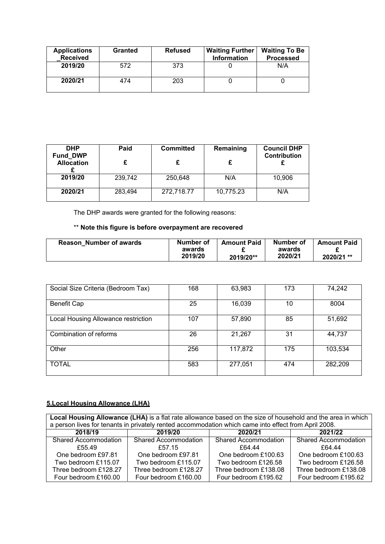| <b>Applications</b><br><b>Received</b> | <b>Granted</b> | <b>Refused</b> | <b>Waiting Further</b><br><b>Information</b> | <b>Waiting To Be</b><br><b>Processed</b> |
|----------------------------------------|----------------|----------------|----------------------------------------------|------------------------------------------|
| 2019/20                                | 572            | 373            |                                              | N/A                                      |
| 2020/21                                | 474            | 203            |                                              |                                          |

| <b>DHP</b><br>Fund_DWP<br><b>Allocation</b> | Paid    | <b>Committed</b> | Remaining | <b>Council DHP</b><br>Contribution |
|---------------------------------------------|---------|------------------|-----------|------------------------------------|
|                                             |         |                  |           |                                    |
| 2019/20                                     | 239,742 | 250,648          | N/A       | 10,906                             |
| 2020/21                                     | 283,494 | 272,718.77       | 10,775.23 | N/A                                |

The DHP awards were granted for the following reasons:

# \*\* **Note this figure is before overpayment are recovered**

| <b>Reason Number of awards</b> | Number of<br>awards | <b>Amount Paid</b> | Number of<br>awards | <b>Amount Paid</b> |
|--------------------------------|---------------------|--------------------|---------------------|--------------------|
|                                | 2019/20             | 2019/20**          | 2020/21             | 2020/21 **         |

| Social Size Criteria (Bedroom Tax)  | 168 | 63,983  | 173 | 74,242  |
|-------------------------------------|-----|---------|-----|---------|
| Benefit Cap                         | 25  | 16,039  | 10  | 8004    |
| Local Housing Allowance restriction | 107 | 57,890  | 85  | 51,692  |
| Combination of reforms              | 26  | 21,267  | 31  | 44,737  |
| Other                               | 256 | 117,872 | 175 | 103,534 |
| <b>TOTAL</b>                        | 583 | 277,051 | 474 | 282,209 |

# **5.Local Housing Allowance (LHA)**

| Local Housing Allowance (LHA) is a flat rate allowance based on the size of household and the area in which  <br>a person lives for tenants in privately rented accommodation which came into effect from April 2008. |                               |                             |                             |  |  |  |
|-----------------------------------------------------------------------------------------------------------------------------------------------------------------------------------------------------------------------|-------------------------------|-----------------------------|-----------------------------|--|--|--|
| 2018/19                                                                                                                                                                                                               | 2019/20<br>2021/22<br>2020/21 |                             |                             |  |  |  |
| <b>Shared Accommodation</b>                                                                                                                                                                                           | <b>Shared Accommodation</b>   | <b>Shared Accommodation</b> | <b>Shared Accommodation</b> |  |  |  |
| £55.49                                                                                                                                                                                                                | £57.15                        | £64.44                      | <b>£64 44</b>               |  |  |  |
| One bedroom £97.81                                                                                                                                                                                                    | One bedroom £97.81            | One bedroom £100.63         | One bedroom £100.63         |  |  |  |
| Two bedroom £115.07                                                                                                                                                                                                   | Two bedroom £115.07           | Two bedroom £126.58         | Two bedroom £126.58         |  |  |  |
| Three bedroom £128.27                                                                                                                                                                                                 | Three bedroom £128.27         | Three bedroom £138.08       | Three bedroom £138.08       |  |  |  |
| Four bedroom £160.00                                                                                                                                                                                                  | Four bedroom £160.00          | Four bedroom £195.62        | Four bedroom £195.62        |  |  |  |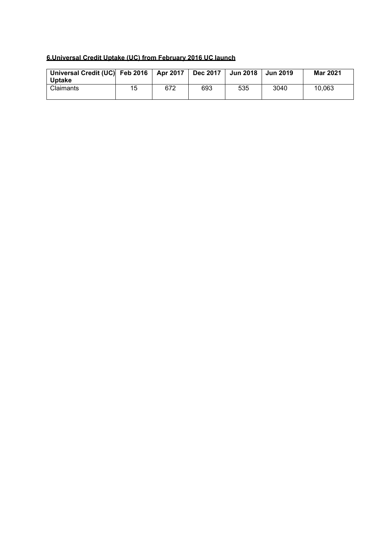#### **6.Universal Credit Uptake (UC) from February 2016 UC launch**

| Universal Credit (UC) Feb 2016   Apr 2017   Dec 2017   Jun 2018   Jun 2019 |    |     |     |     |      | <b>Mar 2021</b> |
|----------------------------------------------------------------------------|----|-----|-----|-----|------|-----------------|
| Uptake<br>Claimants                                                        | 15 | 672 | 693 | 535 | 3040 | 10,063          |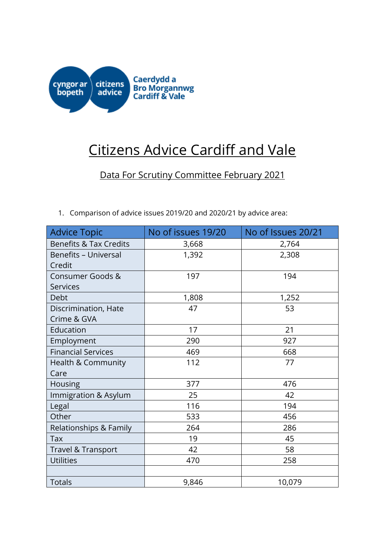

# Citizens Advice Cardiff and Vale

Data For Scrutiny Committee February 2021

1. Comparison of advice issues 2019/20 and 2020/21 by advice area:

| <b>Advice Topic</b>               | No of issues 19/20 | No of Issues 20/21 |
|-----------------------------------|--------------------|--------------------|
| <b>Benefits &amp; Tax Credits</b> | 3,668              | 2,764              |
| <b>Benefits - Universal</b>       | 1,392              | 2,308              |
| Credit                            |                    |                    |
| Consumer Goods &                  | 197                | 194                |
| <b>Services</b>                   |                    |                    |
| Debt                              | 1,808              | 1,252              |
| Discrimination, Hate              | 47                 | 53                 |
| Crime & GVA                       |                    |                    |
| Education                         | 17                 | 21                 |
| Employment                        | 290                | 927                |
| <b>Financial Services</b>         | 469                | 668                |
| Health & Community                | 112                | 77                 |
| Care                              |                    |                    |
| Housing                           | 377                | 476                |
| Immigration & Asylum              | 25                 | 42                 |
| Legal                             | 116                | 194                |
| Other                             | 533                | 456                |
| Relationships & Family            | 264                | 286                |
| Tax                               | 19                 | 45                 |
| Travel & Transport                | 42                 | 58                 |
| <b>Utilities</b>                  | 470                | 258                |
|                                   |                    |                    |
| Totals                            | 9,846              | 10,079             |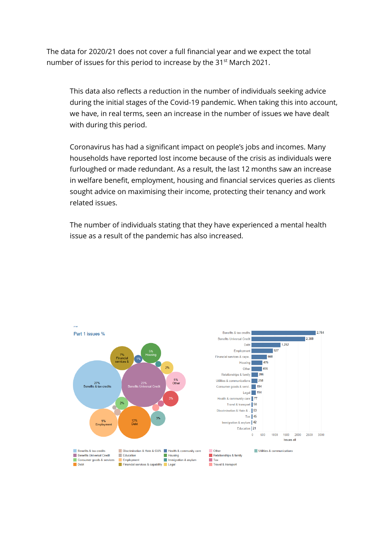The data for 2020/21 does not cover a full financial year and we expect the total number of issues for this period to increase by the 31<sup>st</sup> March 2021.

This data also reflects a reduction in the number of individuals seeking advice during the initial stages of the Covid-19 pandemic. When taking this into account, we have, in real terms, seen an increase in the number of issues we have dealt with during this period.

Coronavirus has had a significant impact on people's jobs and incomes. Many households have reported lost income because of the crisis as individuals were furloughed or made redundant. As a result, the last 12 months saw an increase in welfare benefit, employment, housing and financial services queries as clients sought advice on maximising their income, protecting their tenancy and work related issues.

The number of individuals stating that they have experienced a mental health issue as a result of the pandemic has also increased.

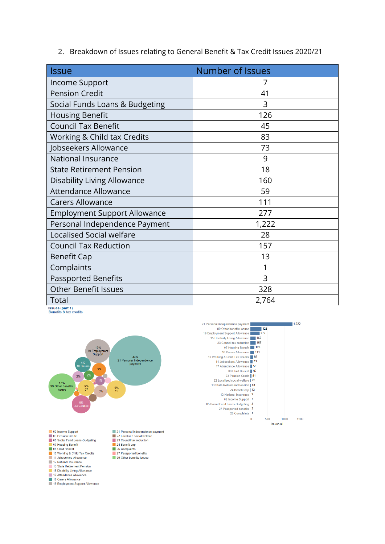2. Breakdown of Issues relating to General Benefit & Tax Credit Issues 2020/21

| Issue                               | Number of Issues |
|-------------------------------------|------------------|
| Income Support                      | 7                |
| <b>Pension Credit</b>               | 41               |
| Social Funds Loans & Budgeting      | 3                |
| <b>Housing Benefit</b>              | 126              |
| <b>Council Tax Benefit</b>          | 45               |
| Working & Child tax Credits         | 83               |
| Jobseekers Allowance                | 73               |
| <b>National Insurance</b>           | 9                |
| <b>State Retirement Pension</b>     | 18               |
| <b>Disability Living Allowance</b>  | 160              |
| <b>Attendance Allowance</b>         | 59               |
| <b>Carers Allowance</b>             | 111              |
| <b>Employment Support Allowance</b> | 277              |
| Personal Independence Payment       | 1,222            |
| <b>Localised Social welfare</b>     | 28               |
| <b>Council Tax Reduction</b>        | 157              |
| <b>Benefit Cap</b>                  | 13               |
| Complaints                          | 1                |
| <b>Passported Benefits</b>          | 3                |
| <b>Other Benefit Issues</b>         | 328              |
| Total<br>ssues (part 1)             | 2,764            |

Benefits & tax credits



25 Council tax<br>24 Benefit cap<br>26 Complaints

27 Passported benefits<br>
99 Other benefits issues

02 Income Support<br>03 Pension Credit 05 Social Fund Loans-Budgeting 03 Social Fund Loa<br>
07 Housing Benefit<br>
08 Child Benefit ■ 08 Child Benetit<br>■ 10 Working & Child Tax Credits<br>■ 11 Jobseekers Allowance<br>■ 12 National Insurance 12 National Insurance<br>13 State Retirement Pension<br>15 Disability Living Allowance<br>17 Attendance Allowance<br>18 Carers Allowance<br>19 Employment Support Allowance

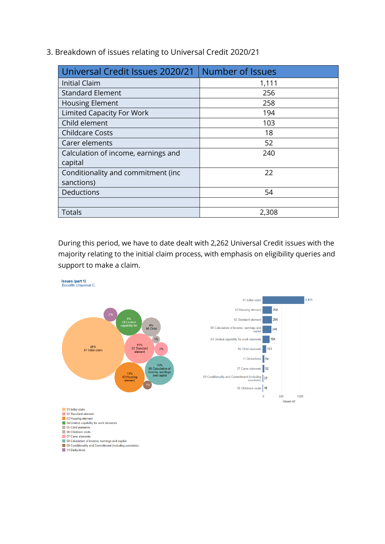3. Breakdown of issues relating to Universal Credit 2020/21

| Universal Credit Issues 2020/21     | <b>Number of Issues</b> |
|-------------------------------------|-------------------------|
| <b>Initial Claim</b>                | 1,111                   |
| <b>Standard Element</b>             | 256                     |
| <b>Housing Element</b>              | 258                     |
| <b>Limited Capacity For Work</b>    | 194                     |
| Child element                       | 103                     |
| <b>Childcare Costs</b>              | 18                      |
| Carer elements                      | 52                      |
| Calculation of income, earnings and | 240                     |
| capital                             |                         |
| Conditionality and commitment (inc. | 22                      |
| sanctions)                          |                         |
| Deductions                          | 54                      |
|                                     |                         |
| <b>Totals</b>                       | 2,308                   |

During this period, we have to date dealt with 2,262 Universal Credit issues with the majority relating to the initial claim process, with emphasis on eligibility queries and support to make a claim.

**Issues (part 1)**<br>Benefits Universal C.

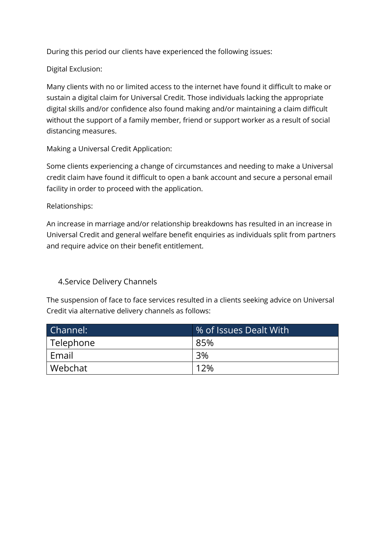During this period our clients have experienced the following issues:

Digital Exclusion:

Many clients with no or limited access to the internet have found it difficult to make or sustain a digital claim for Universal Credit. Those individuals lacking the appropriate digital skills and/or confidence also found making and/or maintaining a claim difficult without the support of a family member, friend or support worker as a result of social distancing measures.

Making a Universal Credit Application:

Some clients experiencing a change of circumstances and needing to make a Universal credit claim have found it difficult to open a bank account and secure a personal email facility in order to proceed with the application.

Relationships:

An increase in marriage and/or relationship breakdowns has resulted in an increase in Universal Credit and general welfare benefit enquiries as individuals split from partners and require advice on their benefit entitlement.

4.Service Delivery Channels

The suspension of face to face services resulted in a clients seeking advice on Universal Credit via alternative delivery channels as follows:

| Channel:  | % of Issues Dealt With |
|-----------|------------------------|
| Telephone | 85%                    |
| Email     | 3%                     |
| Webchat   | 12%                    |